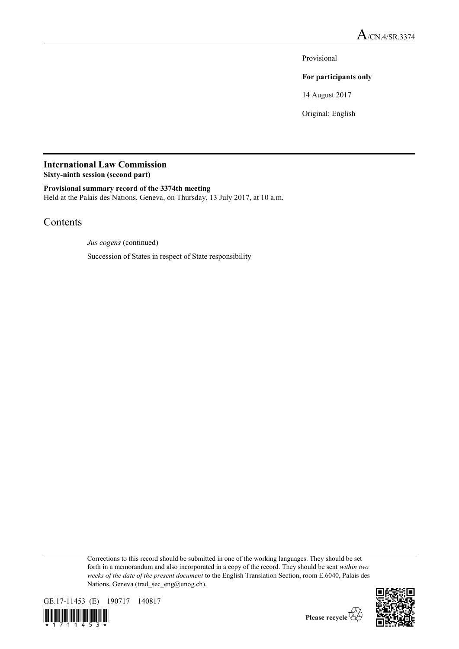Provisional

## **For participants only**

14 August 2017

Original: English

# **International Law Commission**

**Sixty-ninth session (second part)**

## **Provisional summary record of the 3374th meeting**

Held at the Palais des Nations, Geneva, on Thursday, 13 July 2017, at 10 a.m.

# Contents

*Jus cogens* (continued)

Succession of States in respect of State responsibility

Corrections to this record should be submitted in one of the working languages. They should be set forth in a memorandum and also incorporated in a copy of the record. They should be sent *within two weeks of the date of the present document* to the English Translation Section, room E.6040, Palais des Nations, Geneva (trad\_sec\_eng@unog.ch).







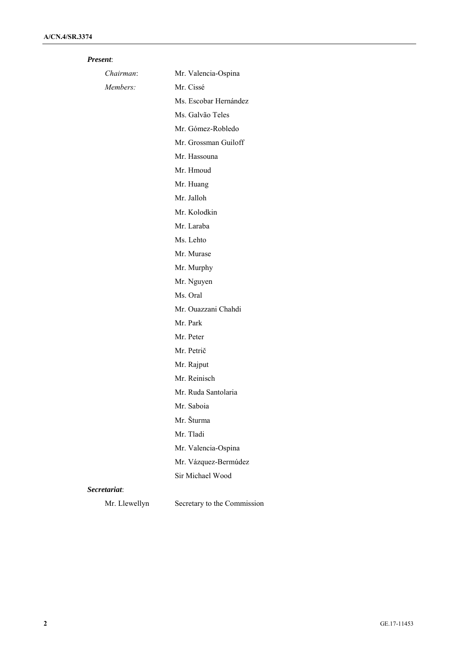## *Present*:

| Chairman:    | Mr. Valencia-Ospina   |
|--------------|-----------------------|
| Members:     | Mr. Cissé             |
|              | Ms. Escobar Hernández |
|              | Ms. Galvão Teles      |
|              | Mr. Gómez-Robledo     |
|              | Mr. Grossman Guiloff  |
|              | Mr. Hassouna          |
|              | Mr. Hmoud             |
|              | Mr. Huang             |
|              | Mr. Jalloh            |
|              | Mr. Kolodkin          |
|              | Mr. Laraba            |
|              | Ms. Lehto             |
|              | Mr. Murase            |
|              | Mr. Murphy            |
|              | Mr. Nguyen            |
|              | Ms. Oral              |
|              | Mr. Ouazzani Chahdi   |
|              | Mr. Park              |
|              | Mr. Peter             |
|              | Mr. Petrič            |
|              | Mr. Rajput            |
|              | Mr. Reinisch          |
|              | Mr. Ruda Santolaria   |
|              | Mr. Saboia            |
|              | Mr. Šturma            |
|              | Mr. Tladi             |
|              | Mr. Valencia-Ospina   |
|              | Mr. Vázquez-Bermúdez  |
|              | Sir Michael Wood      |
| Secretariat: |                       |

Mr. Llewellyn Secretary to the Commission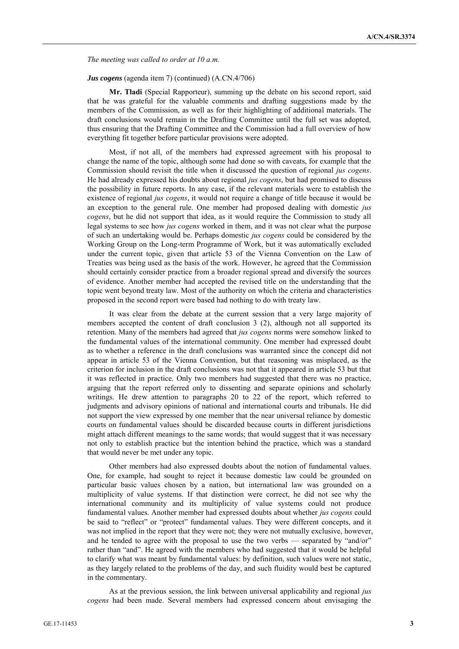*The meeting was called to order at 10 a.m.*

#### *Jus cogens* (agenda item 7) (continued) (A.CN.4/706)

**Mr. Tladi** (Special Rapporteur), summing up the debate on his second report, said that he was grateful for the valuable comments and drafting suggestions made by the members of the Commission, as well as for their highlighting of additional materials. The draft conclusions would remain in the Drafting Committee until the full set was adopted, thus ensuring that the Drafting Committee and the Commission had a full overview of how everything fit together before particular provisions were adopted.

Most, if not all, of the members had expressed agreement with his proposal to change the name of the topic, although some had done so with caveats, for example that the Commission should revisit the title when it discussed the question of regional *jus cogens*. He had already expressed his doubts about regional *jus cogens*, but had promised to discuss the possibility in future reports. In any case, if the relevant materials were to establish the existence of regional *jus cogens*, it would not require a change of title because it would be an exception to the general rule. One member had proposed dealing with domestic *jus cogens*, but he did not support that idea, as it would require the Commission to study all legal systems to see how *jus cogens* worked in them, and it was not clear what the purpose of such an undertaking would be. Perhaps domestic *jus cogens* could be considered by the Working Group on the Long-term Programme of Work, but it was automatically excluded under the current topic, given that article 53 of the Vienna Convention on the Law of Treaties was being used as the basis of the work. However, he agreed that the Commission should certainly consider practice from a broader regional spread and diversify the sources of evidence. Another member had accepted the revised title on the understanding that the topic went beyond treaty law. Most of the authority on which the criteria and characteristics proposed in the second report were based had nothing to do with treaty law.

It was clear from the debate at the current session that a very large majority of members accepted the content of draft conclusion 3 (2), although not all supported its retention. Many of the members had agreed that *jus cogens* norms were somehow linked to the fundamental values of the international community. One member had expressed doubt as to whether a reference in the draft conclusions was warranted since the concept did not appear in article 53 of the Vienna Convention, but that reasoning was misplaced, as the criterion for inclusion in the draft conclusions was not that it appeared in article 53 but that it was reflected in practice. Only two members had suggested that there was no practice, arguing that the report referred only to dissenting and separate opinions and scholarly writings. He drew attention to paragraphs 20 to 22 of the report, which referred to judgments and advisory opinions of national and international courts and tribunals. He did not support the view expressed by one member that the near universal reliance by domestic courts on fundamental values should be discarded because courts in different jurisdictions might attach different meanings to the same words; that would suggest that it was necessary not only to establish practice but the intention behind the practice, which was a standard that would never be met under any topic.

Other members had also expressed doubts about the notion of fundamental values. One, for example, had sought to reject it because domestic law could be grounded on particular basic values chosen by a nation, but international law was grounded on a multiplicity of value systems. If that distinction were correct, he did not see why the international community and its multiplicity of value systems could not produce fundamental values. Another member had expressed doubts about whether *jus cogens* could be said to "reflect" or "protect" fundamental values. They were different concepts, and it was not implied in the report that they were not; they were not mutually exclusive, however, and he tended to agree with the proposal to use the two verbs — separated by "and/or" rather than "and". He agreed with the members who had suggested that it would be helpful to clarify what was meant by fundamental values: by definition, such values were not static, as they largely related to the problems of the day, and such fluidity would best be captured in the commentary.

As at the previous session, the link between universal applicability and regional *jus cogens* had been made. Several members had expressed concern about envisaging the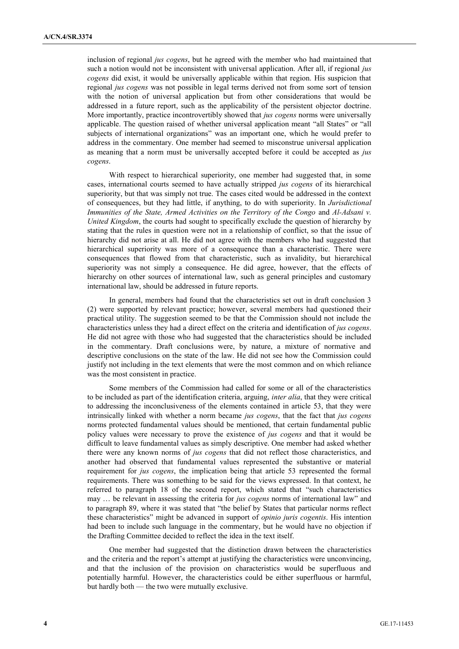inclusion of regional *jus cogens*, but he agreed with the member who had maintained that such a notion would not be inconsistent with universal application. After all, if regional *jus cogens* did exist, it would be universally applicable within that region. His suspicion that regional *jus cogens* was not possible in legal terms derived not from some sort of tension with the notion of universal application but from other considerations that would be addressed in a future report, such as the applicability of the persistent objector doctrine. More importantly, practice incontrovertibly showed that *jus cogens* norms were universally applicable. The question raised of whether universal application meant "all States" or "all subjects of international organizations" was an important one, which he would prefer to address in the commentary. One member had seemed to misconstrue universal application as meaning that a norm must be universally accepted before it could be accepted as *jus cogens*.

With respect to hierarchical superiority, one member had suggested that, in some cases, international courts seemed to have actually stripped *jus cogens* of its hierarchical superiority, but that was simply not true. The cases cited would be addressed in the context of consequences, but they had little, if anything, to do with superiority. In *Jurisdictional Immunities of the State, Armed Activities on the Territory of the Congo* and *Al-Adsani v. United Kingdom*, the courts had sought to specifically exclude the question of hierarchy by stating that the rules in question were not in a relationship of conflict, so that the issue of hierarchy did not arise at all. He did not agree with the members who had suggested that hierarchical superiority was more of a consequence than a characteristic. There were consequences that flowed from that characteristic, such as invalidity, but hierarchical superiority was not simply a consequence. He did agree, however, that the effects of hierarchy on other sources of international law, such as general principles and customary international law, should be addressed in future reports.

In general, members had found that the characteristics set out in draft conclusion 3 (2) were supported by relevant practice; however, several members had questioned their practical utility. The suggestion seemed to be that the Commission should not include the characteristics unless they had a direct effect on the criteria and identification of *jus cogens*. He did not agree with those who had suggested that the characteristics should be included in the commentary. Draft conclusions were, by nature, a mixture of normative and descriptive conclusions on the state of the law. He did not see how the Commission could justify not including in the text elements that were the most common and on which reliance was the most consistent in practice.

Some members of the Commission had called for some or all of the characteristics to be included as part of the identification criteria, arguing, *inter alia*, that they were critical to addressing the inconclusiveness of the elements contained in article 53, that they were intrinsically linked with whether a norm became *jus cogens*, that the fact that *jus cogens* norms protected fundamental values should be mentioned, that certain fundamental public policy values were necessary to prove the existence of *jus cogens* and that it would be difficult to leave fundamental values as simply descriptive. One member had asked whether there were any known norms of *jus cogens* that did not reflect those characteristics, and another had observed that fundamental values represented the substantive or material requirement for *jus cogens*, the implication being that article 53 represented the formal requirements. There was something to be said for the views expressed. In that context, he referred to paragraph 18 of the second report, which stated that "such characteristics may … be relevant in assessing the criteria for *jus cogens* norms of international law" and to paragraph 89, where it was stated that "the belief by States that particular norms reflect these characteristics" might be advanced in support of *opinio juris cogentis*. His intention had been to include such language in the commentary, but he would have no objection if the Drafting Committee decided to reflect the idea in the text itself.

One member had suggested that the distinction drawn between the characteristics and the criteria and the report's attempt at justifying the characteristics were unconvincing, and that the inclusion of the provision on characteristics would be superfluous and potentially harmful. However, the characteristics could be either superfluous or harmful, but hardly both — the two were mutually exclusive.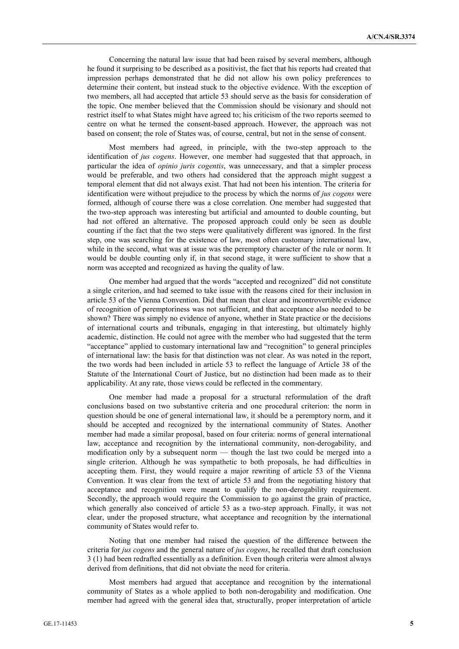Concerning the natural law issue that had been raised by several members, although he found it surprising to be described as a positivist, the fact that his reports had created that impression perhaps demonstrated that he did not allow his own policy preferences to determine their content, but instead stuck to the objective evidence. With the exception of two members, all had accepted that article 53 should serve as the basis for consideration of the topic. One member believed that the Commission should be visionary and should not restrict itself to what States might have agreed to; his criticism of the two reports seemed to centre on what he termed the consent-based approach. However, the approach was not based on consent; the role of States was, of course, central, but not in the sense of consent.

Most members had agreed, in principle, with the two-step approach to the identification of *jus cogens*. However, one member had suggested that that approach, in particular the idea of *opinio juris cogentis*, was unnecessary, and that a simpler process would be preferable, and two others had considered that the approach might suggest a temporal element that did not always exist. That had not been his intention. The criteria for identification were without prejudice to the process by which the norms of *jus cogens* were formed, although of course there was a close correlation. One member had suggested that the two-step approach was interesting but artificial and amounted to double counting, but had not offered an alternative. The proposed approach could only be seen as double counting if the fact that the two steps were qualitatively different was ignored. In the first step, one was searching for the existence of law, most often customary international law, while in the second, what was at issue was the peremptory character of the rule or norm. It would be double counting only if, in that second stage, it were sufficient to show that a norm was accepted and recognized as having the quality of law.

One member had argued that the words "accepted and recognized" did not constitute a single criterion, and had seemed to take issue with the reasons cited for their inclusion in article 53 of the Vienna Convention. Did that mean that clear and incontrovertible evidence of recognition of peremptoriness was not sufficient, and that acceptance also needed to be shown? There was simply no evidence of anyone, whether in State practice or the decisions of international courts and tribunals, engaging in that interesting, but ultimately highly academic, distinction. He could not agree with the member who had suggested that the term "acceptance" applied to customary international law and "recognition" to general principles of international law: the basis for that distinction was not clear. As was noted in the report, the two words had been included in article 53 to reflect the language of Article 38 of the Statute of the International Court of Justice, but no distinction had been made as to their applicability. At any rate, those views could be reflected in the commentary.

One member had made a proposal for a structural reformulation of the draft conclusions based on two substantive criteria and one procedural criterion: the norm in question should be one of general international law, it should be a peremptory norm, and it should be accepted and recognized by the international community of States. Another member had made a similar proposal, based on four criteria: norms of general international law, acceptance and recognition by the international community, non-derogability, and modification only by a subsequent norm — though the last two could be merged into a single criterion. Although he was sympathetic to both proposals, he had difficulties in accepting them. First, they would require a major rewriting of article 53 of the Vienna Convention. It was clear from the text of article 53 and from the negotiating history that acceptance and recognition were meant to qualify the non-derogability requirement. Secondly, the approach would require the Commission to go against the grain of practice, which generally also conceived of article 53 as a two-step approach. Finally, it was not clear, under the proposed structure, what acceptance and recognition by the international community of States would refer to.

Noting that one member had raised the question of the difference between the criteria for *jus cogens* and the general nature of *jus cogens*, he recalled that draft conclusion 3 (1) had been redrafted essentially as a definition. Even though criteria were almost always derived from definitions, that did not obviate the need for criteria.

Most members had argued that acceptance and recognition by the international community of States as a whole applied to both non-derogability and modification. One member had agreed with the general idea that, structurally, proper interpretation of article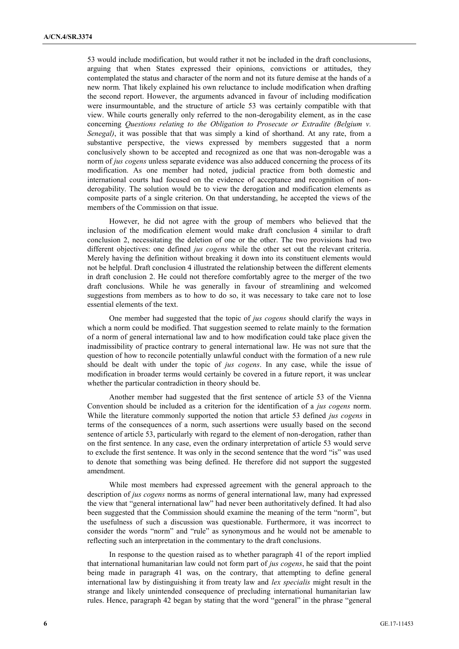53 would include modification, but would rather it not be included in the draft conclusions, arguing that when States expressed their opinions, convictions or attitudes, they contemplated the status and character of the norm and not its future demise at the hands of a new norm. That likely explained his own reluctance to include modification when drafting the second report. However, the arguments advanced in favour of including modification were insurmountable, and the structure of article 53 was certainly compatible with that view. While courts generally only referred to the non-derogability element, as in the case concerning *Questions relating to the Obligation to Prosecute or Extradite (Belgium v. Senegal)*, it was possible that that was simply a kind of shorthand. At any rate, from a substantive perspective, the views expressed by members suggested that a norm conclusively shown to be accepted and recognized as one that was non-derogable was a norm of *jus cogens* unless separate evidence was also adduced concerning the process of its modification. As one member had noted, judicial practice from both domestic and international courts had focused on the evidence of acceptance and recognition of nonderogability. The solution would be to view the derogation and modification elements as composite parts of a single criterion. On that understanding, he accepted the views of the members of the Commission on that issue.

However, he did not agree with the group of members who believed that the inclusion of the modification element would make draft conclusion 4 similar to draft conclusion 2, necessitating the deletion of one or the other. The two provisions had two different objectives: one defined *jus cogens* while the other set out the relevant criteria. Merely having the definition without breaking it down into its constituent elements would not be helpful. Draft conclusion 4 illustrated the relationship between the different elements in draft conclusion 2. He could not therefore comfortably agree to the merger of the two draft conclusions. While he was generally in favour of streamlining and welcomed suggestions from members as to how to do so, it was necessary to take care not to lose essential elements of the text.

One member had suggested that the topic of *jus cogens* should clarify the ways in which a norm could be modified. That suggestion seemed to relate mainly to the formation of a norm of general international law and to how modification could take place given the inadmissibility of practice contrary to general international law. He was not sure that the question of how to reconcile potentially unlawful conduct with the formation of a new rule should be dealt with under the topic of *jus cogens*. In any case, while the issue of modification in broader terms would certainly be covered in a future report, it was unclear whether the particular contradiction in theory should be.

Another member had suggested that the first sentence of article 53 of the Vienna Convention should be included as a criterion for the identification of a *jus cogens* norm. While the literature commonly supported the notion that article 53 defined *jus cogens* in terms of the consequences of a norm, such assertions were usually based on the second sentence of article 53, particularly with regard to the element of non-derogation, rather than on the first sentence. In any case, even the ordinary interpretation of article 53 would serve to exclude the first sentence. It was only in the second sentence that the word "is" was used to denote that something was being defined. He therefore did not support the suggested amendment.

While most members had expressed agreement with the general approach to the description of *jus cogens* norms as norms of general international law, many had expressed the view that "general international law" had never been authoritatively defined. It had also been suggested that the Commission should examine the meaning of the term "norm", but the usefulness of such a discussion was questionable. Furthermore, it was incorrect to consider the words "norm" and "rule" as synonymous and he would not be amenable to reflecting such an interpretation in the commentary to the draft conclusions.

In response to the question raised as to whether paragraph 41 of the report implied that international humanitarian law could not form part of *jus cogens*, he said that the point being made in paragraph 41 was, on the contrary, that attempting to define general international law by distinguishing it from treaty law and *lex specialis* might result in the strange and likely unintended consequence of precluding international humanitarian law rules. Hence, paragraph 42 began by stating that the word "general" in the phrase "general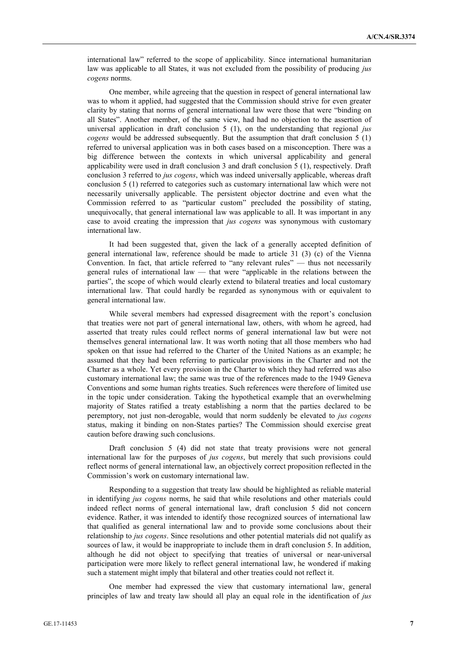international law" referred to the scope of applicability. Since international humanitarian law was applicable to all States, it was not excluded from the possibility of producing *jus cogens* norms.

One member, while agreeing that the question in respect of general international law was to whom it applied, had suggested that the Commission should strive for even greater clarity by stating that norms of general international law were those that were "binding on all States". Another member, of the same view, had had no objection to the assertion of universal application in draft conclusion 5 (1), on the understanding that regional *jus cogens* would be addressed subsequently. But the assumption that draft conclusion 5 (1) referred to universal application was in both cases based on a misconception. There was a big difference between the contexts in which universal applicability and general applicability were used in draft conclusion 3 and draft conclusion 5 (1), respectively. Draft conclusion 3 referred to *jus cogens*, which was indeed universally applicable, whereas draft conclusion 5 (1) referred to categories such as customary international law which were not necessarily universally applicable. The persistent objector doctrine and even what the Commission referred to as "particular custom" precluded the possibility of stating, unequivocally, that general international law was applicable to all. It was important in any case to avoid creating the impression that *jus cogens* was synonymous with customary international law.

It had been suggested that, given the lack of a generally accepted definition of general international law, reference should be made to article 31 (3) (c) of the Vienna Convention. In fact, that article referred to "any relevant rules" — thus not necessarily general rules of international law — that were "applicable in the relations between the parties", the scope of which would clearly extend to bilateral treaties and local customary international law. That could hardly be regarded as synonymous with or equivalent to general international law.

While several members had expressed disagreement with the report's conclusion that treaties were not part of general international law, others, with whom he agreed, had asserted that treaty rules could reflect norms of general international law but were not themselves general international law. It was worth noting that all those members who had spoken on that issue had referred to the Charter of the United Nations as an example; he assumed that they had been referring to particular provisions in the Charter and not the Charter as a whole. Yet every provision in the Charter to which they had referred was also customary international law; the same was true of the references made to the 1949 Geneva Conventions and some human rights treaties. Such references were therefore of limited use in the topic under consideration. Taking the hypothetical example that an overwhelming majority of States ratified a treaty establishing a norm that the parties declared to be peremptory, not just non-derogable, would that norm suddenly be elevated to *jus cogens* status, making it binding on non-States parties? The Commission should exercise great caution before drawing such conclusions.

Draft conclusion 5 (4) did not state that treaty provisions were not general international law for the purposes of *jus cogens*, but merely that such provisions could reflect norms of general international law, an objectively correct proposition reflected in the Commission's work on customary international law.

Responding to a suggestion that treaty law should be highlighted as reliable material in identifying *jus cogens* norms, he said that while resolutions and other materials could indeed reflect norms of general international law, draft conclusion 5 did not concern evidence. Rather, it was intended to identify those recognized sources of international law that qualified as general international law and to provide some conclusions about their relationship to *jus cogens*. Since resolutions and other potential materials did not qualify as sources of law, it would be inappropriate to include them in draft conclusion 5. In addition, although he did not object to specifying that treaties of universal or near-universal participation were more likely to reflect general international law, he wondered if making such a statement might imply that bilateral and other treaties could not reflect it.

One member had expressed the view that customary international law, general principles of law and treaty law should all play an equal role in the identification of *jus*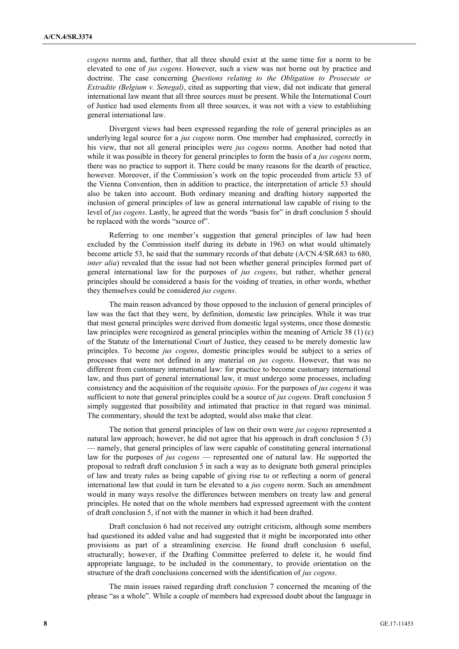*cogens* norms and, further, that all three should exist at the same time for a norm to be elevated to one of *jus cogens*. However, such a view was not borne out by practice and doctrine. The case concerning *Questions relating to the Obligation to Prosecute or Extradite (Belgium v. Senegal)*, cited as supporting that view, did not indicate that general international law meant that all three sources must be present. While the International Court of Justice had used elements from all three sources, it was not with a view to establishing general international law.

Divergent views had been expressed regarding the role of general principles as an underlying legal source for a *jus cogens* norm. One member had emphasized, correctly in his view, that not all general principles were *jus cogens* norms. Another had noted that while it was possible in theory for general principles to form the basis of a *jus cogens* norm, there was no practice to support it. There could be many reasons for the dearth of practice, however. Moreover, if the Commission's work on the topic proceeded from article 53 of the Vienna Convention, then in addition to practice, the interpretation of article 53 should also be taken into account. Both ordinary meaning and drafting history supported the inclusion of general principles of law as general international law capable of rising to the level of *jus cogens*. Lastly, he agreed that the words "basis for" in draft conclusion 5 should be replaced with the words "source of".

Referring to one member's suggestion that general principles of law had been excluded by the Commission itself during its debate in 1963 on what would ultimately become article 53, he said that the summary records of that debate (A/CN.4/SR.683 to 680, *inter alia*) revealed that the issue had not been whether general principles formed part of general international law for the purposes of *jus cogens*, but rather, whether general principles should be considered a basis for the voiding of treaties, in other words, whether they themselves could be considered *jus cogens*.

The main reason advanced by those opposed to the inclusion of general principles of law was the fact that they were, by definition, domestic law principles. While it was true that most general principles were derived from domestic legal systems, once those domestic law principles were recognized as general principles within the meaning of Article 38 (1) (c) of the Statute of the International Court of Justice, they ceased to be merely domestic law principles. To become *jus cogens*, domestic principles would be subject to a series of processes that were not defined in any material on *jus cogens*. However, that was no different from customary international law: for practice to become customary international law, and thus part of general international law, it must undergo some processes, including consistency and the acquisition of the requisite *opinio*. For the purposes of *jus cogens* it was sufficient to note that general principles could be a source of *jus cogens*. Draft conclusion 5 simply suggested that possibility and intimated that practice in that regard was minimal. The commentary, should the text be adopted, would also make that clear.

The notion that general principles of law on their own were *jus cogens* represented a natural law approach; however, he did not agree that his approach in draft conclusion 5 (3) — namely, that general principles of law were capable of constituting general international law for the purposes of *jus cogens* — represented one of natural law. He supported the proposal to redraft draft conclusion 5 in such a way as to designate both general principles of law and treaty rules as being capable of giving rise to or reflecting a norm of general international law that could in turn be elevated to a *jus cogens* norm. Such an amendment would in many ways resolve the differences between members on treaty law and general principles. He noted that on the whole members had expressed agreement with the content of draft conclusion 5, if not with the manner in which it had been drafted.

Draft conclusion 6 had not received any outright criticism, although some members had questioned its added value and had suggested that it might be incorporated into other provisions as part of a streamlining exercise. He found draft conclusion 6 useful, structurally; however, if the Drafting Committee preferred to delete it, he would find appropriate language, to be included in the commentary, to provide orientation on the structure of the draft conclusions concerned with the identification of *jus cogens*.

The main issues raised regarding draft conclusion 7 concerned the meaning of the phrase "as a whole". While a couple of members had expressed doubt about the language in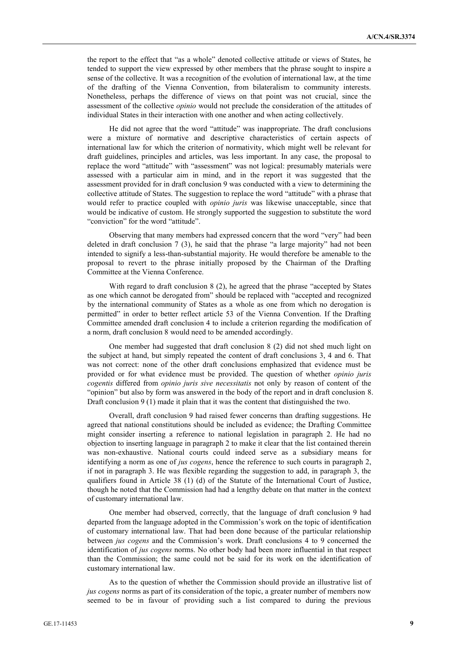the report to the effect that "as a whole" denoted collective attitude or views of States, he tended to support the view expressed by other members that the phrase sought to inspire a sense of the collective. It was a recognition of the evolution of international law, at the time of the drafting of the Vienna Convention, from bilateralism to community interests. Nonetheless, perhaps the difference of views on that point was not crucial, since the assessment of the collective *opinio* would not preclude the consideration of the attitudes of individual States in their interaction with one another and when acting collectively.

He did not agree that the word "attitude" was inappropriate. The draft conclusions were a mixture of normative and descriptive characteristics of certain aspects of international law for which the criterion of normativity, which might well be relevant for draft guidelines, principles and articles, was less important. In any case, the proposal to replace the word "attitude" with "assessment" was not logical: presumably materials were assessed with a particular aim in mind, and in the report it was suggested that the assessment provided for in draft conclusion 9 was conducted with a view to determining the collective attitude of States. The suggestion to replace the word "attitude" with a phrase that would refer to practice coupled with *opinio juris* was likewise unacceptable, since that would be indicative of custom. He strongly supported the suggestion to substitute the word "conviction" for the word "attitude".

Observing that many members had expressed concern that the word "very" had been deleted in draft conclusion 7 (3), he said that the phrase "a large majority" had not been intended to signify a less-than-substantial majority. He would therefore be amenable to the proposal to revert to the phrase initially proposed by the Chairman of the Drafting Committee at the Vienna Conference.

With regard to draft conclusion 8 (2), he agreed that the phrase "accepted by States as one which cannot be derogated from" should be replaced with "accepted and recognized by the international community of States as a whole as one from which no derogation is permitted" in order to better reflect article 53 of the Vienna Convention. If the Drafting Committee amended draft conclusion 4 to include a criterion regarding the modification of a norm, draft conclusion 8 would need to be amended accordingly.

One member had suggested that draft conclusion 8 (2) did not shed much light on the subject at hand, but simply repeated the content of draft conclusions 3, 4 and 6. That was not correct: none of the other draft conclusions emphasized that evidence must be provided or for what evidence must be provided. The question of whether *opinio juris cogentis* differed from *opinio juris sive necessitatis* not only by reason of content of the "opinion" but also by form was answered in the body of the report and in draft conclusion 8. Draft conclusion 9 (1) made it plain that it was the content that distinguished the two.

Overall, draft conclusion 9 had raised fewer concerns than drafting suggestions. He agreed that national constitutions should be included as evidence; the Drafting Committee might consider inserting a reference to national legislation in paragraph 2. He had no objection to inserting language in paragraph 2 to make it clear that the list contained therein was non-exhaustive. National courts could indeed serve as a subsidiary means for identifying a norm as one of *jus cogens*, hence the reference to such courts in paragraph 2, if not in paragraph 3. He was flexible regarding the suggestion to add, in paragraph 3, the qualifiers found in Article 38 (1) (d) of the Statute of the International Court of Justice, though he noted that the Commission had had a lengthy debate on that matter in the context of customary international law.

One member had observed, correctly, that the language of draft conclusion 9 had departed from the language adopted in the Commission's work on the topic of identification of customary international law. That had been done because of the particular relationship between *jus cogens* and the Commission's work. Draft conclusions 4 to 9 concerned the identification of *jus cogens* norms. No other body had been more influential in that respect than the Commission; the same could not be said for its work on the identification of customary international law.

As to the question of whether the Commission should provide an illustrative list of *jus cogens* norms as part of its consideration of the topic, a greater number of members now seemed to be in favour of providing such a list compared to during the previous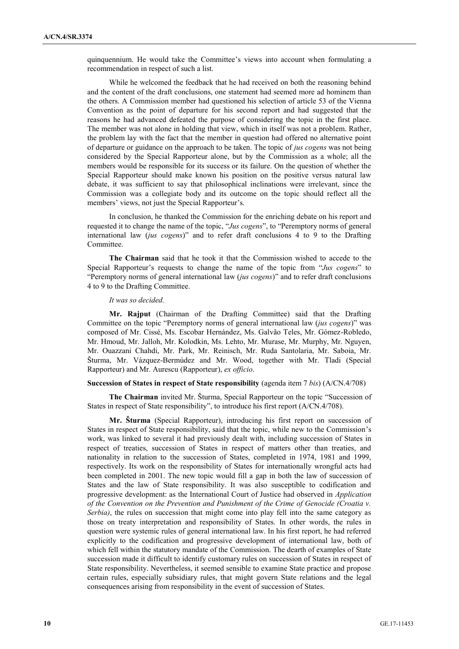quinquennium. He would take the Committee's views into account when formulating a recommendation in respect of such a list.

While he welcomed the feedback that he had received on both the reasoning behind and the content of the draft conclusions, one statement had seemed more ad hominem than the others. A Commission member had questioned his selection of article 53 of the Vienna Convention as the point of departure for his second report and had suggested that the reasons he had advanced defeated the purpose of considering the topic in the first place. The member was not alone in holding that view, which in itself was not a problem. Rather, the problem lay with the fact that the member in question had offered no alternative point of departure or guidance on the approach to be taken. The topic of *jus cogens* was not being considered by the Special Rapporteur alone, but by the Commission as a whole; all the members would be responsible for its success or its failure. On the question of whether the Special Rapporteur should make known his position on the positive versus natural law debate, it was sufficient to say that philosophical inclinations were irrelevant, since the Commission was a collegiate body and its outcome on the topic should reflect all the members' views, not just the Special Rapporteur's.

In conclusion, he thanked the Commission for the enriching debate on his report and requested it to change the name of the topic, "*Jus cogens*", to "Peremptory norms of general international law (*jus cogens*)" and to refer draft conclusions 4 to 9 to the Drafting Committee.

**The Chairman** said that he took it that the Commission wished to accede to the Special Rapporteur's requests to change the name of the topic from "*Jus cogens*" to "Peremptory norms of general international law (*jus cogens*)" and to refer draft conclusions 4 to 9 to the Drafting Committee.

### *It was so decided.*

**Mr. Rajput** (Chairman of the Drafting Committee) said that the Drafting Committee on the topic "Peremptory norms of general international law (*jus cogens*)" was composed of Mr. Cissé, Ms. Escobar Hernández, Ms. Galvão Teles, Mr. Gómez-Robledo, Mr. Hmoud, Mr. Jalloh, Mr. Kolodkin, Ms. Lehto, Mr. Murase, Mr. Murphy, Mr. Nguyen, Mr. Ouazzani Chahdi, Mr. Park, Mr. Reinisch, Mr. Ruda Santolaria, Mr. Saboia, Mr. Šturma, Mr. Vázquez-Bermúdez and Mr. Wood, together with Mr. Tladi (Special Rapporteur) and Mr. Aurescu (Rapporteur), *ex officio*.

### **Succession of States in respect of State responsibility** (agenda item 7 *bis*) (A/CN.4/708)

**The Chairman** invited Mr. Šturma, Special Rapporteur on the topic "Succession of States in respect of State responsibility", to introduce his first report (A/CN.4/708).

**Mr. Šturma** (Special Rapporteur), introducing his first report on succession of States in respect of State responsibility, said that the topic, while new to the Commission's work, was linked to several it had previously dealt with, including succession of States in respect of treaties, succession of States in respect of matters other than treaties, and nationality in relation to the succession of States, completed in 1974, 1981 and 1999, respectively. Its work on the responsibility of States for internationally wrongful acts had been completed in 2001. The new topic would fill a gap in both the law of succession of States and the law of State responsibility. It was also susceptible to codification and progressive development: as the International Court of Justice had observed in *Application of the Convention on the Prevention and Punishment of the Crime of Genocide (Croatia v. Serbia)*, the rules on succession that might come into play fell into the same category as those on treaty interpretation and responsibility of States. In other words, the rules in question were systemic rules of general international law. In his first report, he had referred explicitly to the codification and progressive development of international law, both of which fell within the statutory mandate of the Commission. The dearth of examples of State succession made it difficult to identify customary rules on succession of States in respect of State responsibility. Nevertheless, it seemed sensible to examine State practice and propose certain rules, especially subsidiary rules, that might govern State relations and the legal consequences arising from responsibility in the event of succession of States.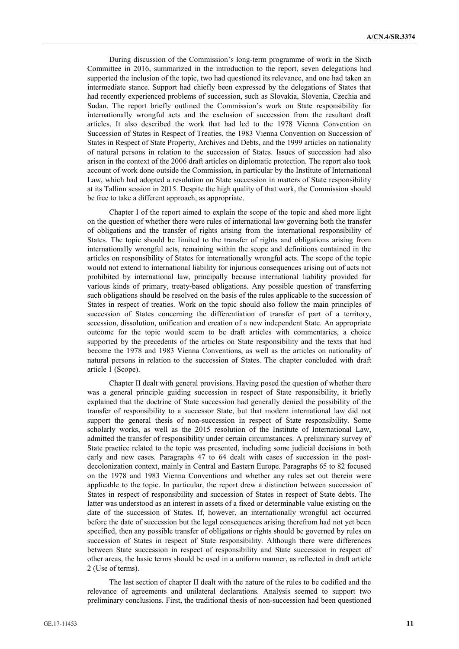During discussion of the Commission's long-term programme of work in the Sixth Committee in 2016, summarized in the introduction to the report, seven delegations had supported the inclusion of the topic, two had questioned its relevance, and one had taken an intermediate stance. Support had chiefly been expressed by the delegations of States that had recently experienced problems of succession, such as Slovakia, Slovenia, Czechia and Sudan. The report briefly outlined the Commission's work on State responsibility for internationally wrongful acts and the exclusion of succession from the resultant draft articles. It also described the work that had led to the 1978 Vienna Convention on Succession of States in Respect of Treaties, the 1983 Vienna Convention on Succession of States in Respect of State Property, Archives and Debts, and the 1999 articles on nationality of natural persons in relation to the succession of States. Issues of succession had also arisen in the context of the 2006 draft articles on diplomatic protection. The report also took account of work done outside the Commission, in particular by the Institute of International Law, which had adopted a resolution on State succession in matters of State responsibility at its Tallinn session in 2015. Despite the high quality of that work, the Commission should be free to take a different approach, as appropriate.

Chapter I of the report aimed to explain the scope of the topic and shed more light on the question of whether there were rules of international law governing both the transfer of obligations and the transfer of rights arising from the international responsibility of States. The topic should be limited to the transfer of rights and obligations arising from internationally wrongful acts, remaining within the scope and definitions contained in the articles on responsibility of States for internationally wrongful acts. The scope of the topic would not extend to international liability for injurious consequences arising out of acts not prohibited by international law, principally because international liability provided for various kinds of primary, treaty-based obligations. Any possible question of transferring such obligations should be resolved on the basis of the rules applicable to the succession of States in respect of treaties. Work on the topic should also follow the main principles of succession of States concerning the differentiation of transfer of part of a territory, secession, dissolution, unification and creation of a new independent State. An appropriate outcome for the topic would seem to be draft articles with commentaries, a choice supported by the precedents of the articles on State responsibility and the texts that had become the 1978 and 1983 Vienna Conventions, as well as the articles on nationality of natural persons in relation to the succession of States. The chapter concluded with draft article 1 (Scope).

Chapter II dealt with general provisions. Having posed the question of whether there was a general principle guiding succession in respect of State responsibility, it briefly explained that the doctrine of State succession had generally denied the possibility of the transfer of responsibility to a successor State, but that modern international law did not support the general thesis of non-succession in respect of State responsibility. Some scholarly works, as well as the 2015 resolution of the Institute of International Law, admitted the transfer of responsibility under certain circumstances. A preliminary survey of State practice related to the topic was presented, including some judicial decisions in both early and new cases. Paragraphs 47 to 64 dealt with cases of succession in the postdecolonization context, mainly in Central and Eastern Europe. Paragraphs 65 to 82 focused on the 1978 and 1983 Vienna Conventions and whether any rules set out therein were applicable to the topic. In particular, the report drew a distinction between succession of States in respect of responsibility and succession of States in respect of State debts. The latter was understood as an interest in assets of a fixed or determinable value existing on the date of the succession of States. If, however, an internationally wrongful act occurred before the date of succession but the legal consequences arising therefrom had not yet been specified, then any possible transfer of obligations or rights should be governed by rules on succession of States in respect of State responsibility. Although there were differences between State succession in respect of responsibility and State succession in respect of other areas, the basic terms should be used in a uniform manner, as reflected in draft article 2 (Use of terms).

The last section of chapter II dealt with the nature of the rules to be codified and the relevance of agreements and unilateral declarations. Analysis seemed to support two preliminary conclusions. First, the traditional thesis of non-succession had been questioned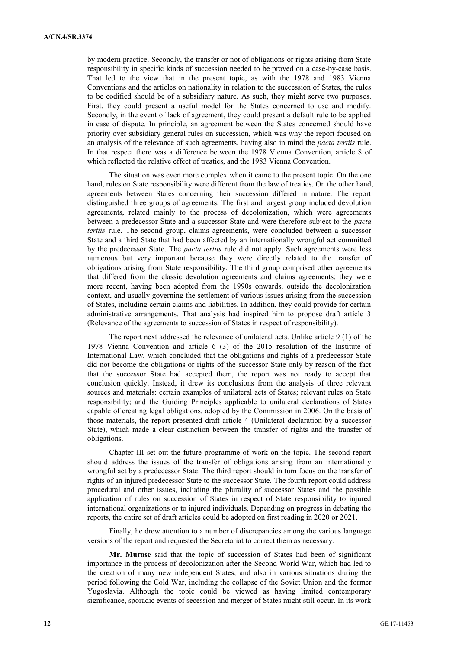by modern practice. Secondly, the transfer or not of obligations or rights arising from State responsibility in specific kinds of succession needed to be proved on a case-by-case basis. That led to the view that in the present topic, as with the 1978 and 1983 Vienna Conventions and the articles on nationality in relation to the succession of States, the rules to be codified should be of a subsidiary nature. As such, they might serve two purposes. First, they could present a useful model for the States concerned to use and modify. Secondly, in the event of lack of agreement, they could present a default rule to be applied in case of dispute. In principle, an agreement between the States concerned should have priority over subsidiary general rules on succession, which was why the report focused on an analysis of the relevance of such agreements, having also in mind the *pacta tertiis* rule. In that respect there was a difference between the 1978 Vienna Convention, article 8 of which reflected the relative effect of treaties, and the 1983 Vienna Convention.

The situation was even more complex when it came to the present topic. On the one hand, rules on State responsibility were different from the law of treaties. On the other hand, agreements between States concerning their succession differed in nature. The report distinguished three groups of agreements. The first and largest group included devolution agreements, related mainly to the process of decolonization, which were agreements between a predecessor State and a successor State and were therefore subject to the *pacta tertiis* rule. The second group, claims agreements, were concluded between a successor State and a third State that had been affected by an internationally wrongful act committed by the predecessor State. The *pacta tertiis* rule did not apply. Such agreements were less numerous but very important because they were directly related to the transfer of obligations arising from State responsibility. The third group comprised other agreements that differed from the classic devolution agreements and claims agreements: they were more recent, having been adopted from the 1990s onwards, outside the decolonization context, and usually governing the settlement of various issues arising from the succession of States, including certain claims and liabilities. In addition, they could provide for certain administrative arrangements. That analysis had inspired him to propose draft article 3 (Relevance of the agreements to succession of States in respect of responsibility).

The report next addressed the relevance of unilateral acts. Unlike article 9 (1) of the 1978 Vienna Convention and article 6 (3) of the 2015 resolution of the Institute of International Law, which concluded that the obligations and rights of a predecessor State did not become the obligations or rights of the successor State only by reason of the fact that the successor State had accepted them, the report was not ready to accept that conclusion quickly. Instead, it drew its conclusions from the analysis of three relevant sources and materials: certain examples of unilateral acts of States; relevant rules on State responsibility; and the Guiding Principles applicable to unilateral declarations of States capable of creating legal obligations, adopted by the Commission in 2006. On the basis of those materials, the report presented draft article 4 (Unilateral declaration by a successor State), which made a clear distinction between the transfer of rights and the transfer of obligations.

Chapter III set out the future programme of work on the topic. The second report should address the issues of the transfer of obligations arising from an internationally wrongful act by a predecessor State. The third report should in turn focus on the transfer of rights of an injured predecessor State to the successor State. The fourth report could address procedural and other issues, including the plurality of successor States and the possible application of rules on succession of States in respect of State responsibility to injured international organizations or to injured individuals. Depending on progress in debating the reports, the entire set of draft articles could be adopted on first reading in 2020 or 2021.

Finally, he drew attention to a number of discrepancies among the various language versions of the report and requested the Secretariat to correct them as necessary.

**Mr. Murase** said that the topic of succession of States had been of significant importance in the process of decolonization after the Second World War, which had led to the creation of many new independent States, and also in various situations during the period following the Cold War, including the collapse of the Soviet Union and the former Yugoslavia. Although the topic could be viewed as having limited contemporary significance, sporadic events of secession and merger of States might still occur. In its work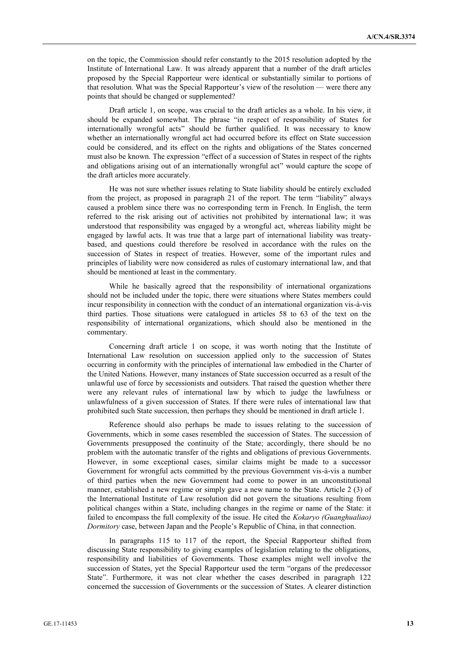on the topic, the Commission should refer constantly to the 2015 resolution adopted by the Institute of International Law. It was already apparent that a number of the draft articles proposed by the Special Rapporteur were identical or substantially similar to portions of that resolution. What was the Special Rapporteur's view of the resolution — were there any points that should be changed or supplemented?

Draft article 1, on scope, was crucial to the draft articles as a whole. In his view, it should be expanded somewhat. The phrase "in respect of responsibility of States for internationally wrongful acts" should be further qualified. It was necessary to know whether an internationally wrongful act had occurred before its effect on State succession could be considered, and its effect on the rights and obligations of the States concerned must also be known. The expression "effect of a succession of States in respect of the rights and obligations arising out of an internationally wrongful act" would capture the scope of the draft articles more accurately.

He was not sure whether issues relating to State liability should be entirely excluded from the project, as proposed in paragraph 21 of the report. The term "liability" always caused a problem since there was no corresponding term in French. In English, the term referred to the risk arising out of activities not prohibited by international law; it was understood that responsibility was engaged by a wrongful act, whereas liability might be engaged by lawful acts. It was true that a large part of international liability was treatybased, and questions could therefore be resolved in accordance with the rules on the succession of States in respect of treaties. However, some of the important rules and principles of liability were now considered as rules of customary international law, and that should be mentioned at least in the commentary.

While he basically agreed that the responsibility of international organizations should not be included under the topic, there were situations where States members could incur responsibility in connection with the conduct of an international organization vis-à-vis third parties. Those situations were catalogued in articles 58 to 63 of the text on the responsibility of international organizations, which should also be mentioned in the commentary.

Concerning draft article 1 on scope, it was worth noting that the Institute of International Law resolution on succession applied only to the succession of States occurring in conformity with the principles of international law embodied in the Charter of the United Nations. However, many instances of State succession occurred as a result of the unlawful use of force by secessionists and outsiders. That raised the question whether there were any relevant rules of international law by which to judge the lawfulness or unlawfulness of a given succession of States. If there were rules of international law that prohibited such State succession, then perhaps they should be mentioned in draft article 1.

Reference should also perhaps be made to issues relating to the succession of Governments, which in some cases resembled the succession of States. The succession of Governments presupposed the continuity of the State; accordingly, there should be no problem with the automatic transfer of the rights and obligations of previous Governments. However, in some exceptional cases, similar claims might be made to a successor Government for wrongful acts committed by the previous Government vis-à-vis a number of third parties when the new Government had come to power in an unconstitutional manner, established a new regime or simply gave a new name to the State. Article 2 (3) of the International Institute of Law resolution did not govern the situations resulting from political changes within a State, including changes in the regime or name of the State: it failed to encompass the full complexity of the issue. He cited the *Kokaryo (Guanghualiao) Dormitory* case, between Japan and the People's Republic of China, in that connection.

In paragraphs 115 to 117 of the report, the Special Rapporteur shifted from discussing State responsibility to giving examples of legislation relating to the obligations, responsibility and liabilities of Governments. Those examples might well involve the succession of States, yet the Special Rapporteur used the term "organs of the predecessor State". Furthermore, it was not clear whether the cases described in paragraph 122 concerned the succession of Governments or the succession of States. A clearer distinction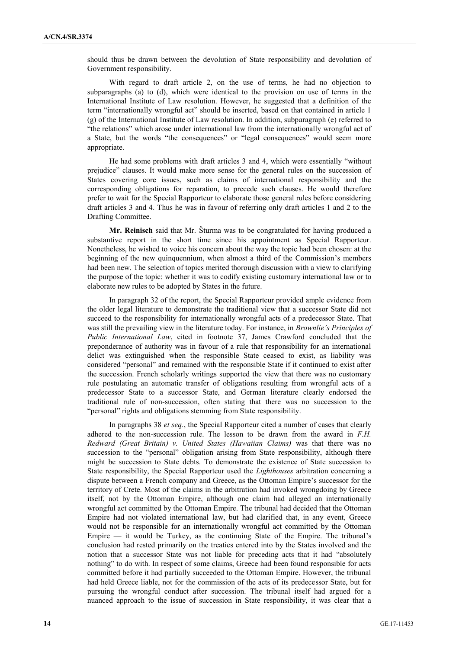should thus be drawn between the devolution of State responsibility and devolution of Government responsibility.

With regard to draft article 2, on the use of terms, he had no objection to subparagraphs (a) to (d), which were identical to the provision on use of terms in the International Institute of Law resolution. However, he suggested that a definition of the term "internationally wrongful act" should be inserted, based on that contained in article 1 (g) of the International Institute of Law resolution. In addition, subparagraph (e) referred to "the relations" which arose under international law from the internationally wrongful act of a State, but the words "the consequences" or "legal consequences" would seem more appropriate.

He had some problems with draft articles 3 and 4, which were essentially "without prejudice" clauses. It would make more sense for the general rules on the succession of States covering core issues, such as claims of international responsibility and the corresponding obligations for reparation, to precede such clauses. He would therefore prefer to wait for the Special Rapporteur to elaborate those general rules before considering draft articles 3 and 4. Thus he was in favour of referring only draft articles 1 and 2 to the Drafting Committee.

**Mr. Reinisch** said that Mr. Šturma was to be congratulated for having produced a substantive report in the short time since his appointment as Special Rapporteur. Nonetheless, he wished to voice his concern about the way the topic had been chosen: at the beginning of the new quinquennium, when almost a third of the Commission's members had been new. The selection of topics merited thorough discussion with a view to clarifying the purpose of the topic: whether it was to codify existing customary international law or to elaborate new rules to be adopted by States in the future.

In paragraph 32 of the report, the Special Rapporteur provided ample evidence from the older legal literature to demonstrate the traditional view that a successor State did not succeed to the responsibility for internationally wrongful acts of a predecessor State. That was still the prevailing view in the literature today. For instance, in *Brownlie's Principles of Public International Law*, cited in footnote 37, James Crawford concluded that the preponderance of authority was in favour of a rule that responsibility for an international delict was extinguished when the responsible State ceased to exist, as liability was considered "personal" and remained with the responsible State if it continued to exist after the succession. French scholarly writings supported the view that there was no customary rule postulating an automatic transfer of obligations resulting from wrongful acts of a predecessor State to a successor State, and German literature clearly endorsed the traditional rule of non-succession, often stating that there was no succession to the "personal" rights and obligations stemming from State responsibility.

In paragraphs 38 *et seq.*, the Special Rapporteur cited a number of cases that clearly adhered to the non-succession rule. The lesson to be drawn from the award in *F.H. Redward (Great Britain) v. United States (Hawaiian Claims)* was that there was no succession to the "personal" obligation arising from State responsibility, although there might be succession to State debts. To demonstrate the existence of State succession to State responsibility, the Special Rapporteur used the *Lighthouses* arbitration concerning a dispute between a French company and Greece, as the Ottoman Empire's successor for the territory of Crete. Most of the claims in the arbitration had invoked wrongdoing by Greece itself, not by the Ottoman Empire, although one claim had alleged an internationally wrongful act committed by the Ottoman Empire. The tribunal had decided that the Ottoman Empire had not violated international law, but had clarified that, in any event, Greece would not be responsible for an internationally wrongful act committed by the Ottoman Empire — it would be Turkey, as the continuing State of the Empire. The tribunal's conclusion had rested primarily on the treaties entered into by the States involved and the notion that a successor State was not liable for preceding acts that it had "absolutely nothing" to do with. In respect of some claims, Greece had been found responsible for acts committed before it had partially succeeded to the Ottoman Empire. However, the tribunal had held Greece liable, not for the commission of the acts of its predecessor State, but for pursuing the wrongful conduct after succession. The tribunal itself had argued for a nuanced approach to the issue of succession in State responsibility, it was clear that a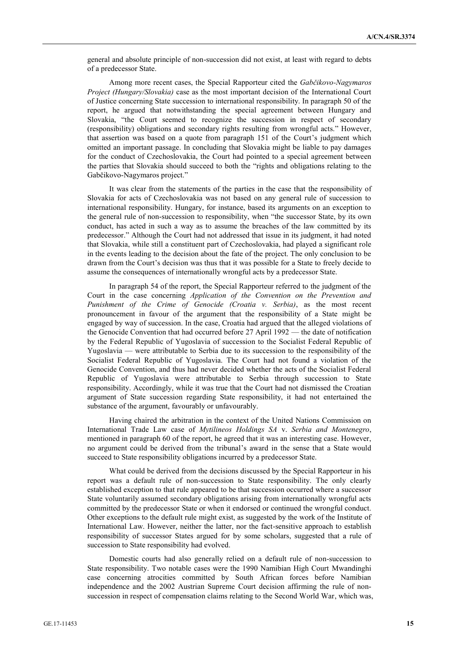general and absolute principle of non-succession did not exist, at least with regard to debts of a predecessor State.

Among more recent cases, the Special Rapporteur cited the *Gabčikovo-Nagymaros Project (Hungary/Slovakia)* case as the most important decision of the International Court of Justice concerning State succession to international responsibility. In paragraph 50 of the report, he argued that notwithstanding the special agreement between Hungary and Slovakia, "the Court seemed to recognize the succession in respect of secondary (responsibility) obligations and secondary rights resulting from wrongful acts." However, that assertion was based on a quote from paragraph 151 of the Court's judgment which omitted an important passage. In concluding that Slovakia might be liable to pay damages for the conduct of Czechoslovakia, the Court had pointed to a special agreement between the parties that Slovakia should succeed to both the "rights and obligations relating to the Gabčikovo-Nagymaros project."

It was clear from the statements of the parties in the case that the responsibility of Slovakia for acts of Czechoslovakia was not based on any general rule of succession to international responsibility. Hungary, for instance, based its arguments on an exception to the general rule of non-succession to responsibility, when "the successor State, by its own conduct, has acted in such a way as to assume the breaches of the law committed by its predecessor." Although the Court had not addressed that issue in its judgment, it had noted that Slovakia, while still a constituent part of Czechoslovakia, had played a significant role in the events leading to the decision about the fate of the project. The only conclusion to be drawn from the Court's decision was thus that it was possible for a State to freely decide to assume the consequences of internationally wrongful acts by a predecessor State.

In paragraph 54 of the report, the Special Rapporteur referred to the judgment of the Court in the case concerning *Application of the Convention on the Prevention and Punishment of the Crime of Genocide (Croatia v. Serbia)*, as the most recent pronouncement in favour of the argument that the responsibility of a State might be engaged by way of succession. In the case, Croatia had argued that the alleged violations of the Genocide Convention that had occurred before 27 April 1992 — the date of notification by the Federal Republic of Yugoslavia of succession to the Socialist Federal Republic of Yugoslavia — were attributable to Serbia due to its succession to the responsibility of the Socialist Federal Republic of Yugoslavia. The Court had not found a violation of the Genocide Convention, and thus had never decided whether the acts of the Socialist Federal Republic of Yugoslavia were attributable to Serbia through succession to State responsibility. Accordingly, while it was true that the Court had not dismissed the Croatian argument of State succession regarding State responsibility, it had not entertained the substance of the argument, favourably or unfavourably.

Having chaired the arbitration in the context of the United Nations Commission on International Trade Law case of *Mytilineos Holdings SA* v. *Serbia and Montenegro*, mentioned in paragraph 60 of the report, he agreed that it was an interesting case. However, no argument could be derived from the tribunal's award in the sense that a State would succeed to State responsibility obligations incurred by a predecessor State.

What could be derived from the decisions discussed by the Special Rapporteur in his report was a default rule of non-succession to State responsibility. The only clearly established exception to that rule appeared to be that succession occurred where a successor State voluntarily assumed secondary obligations arising from internationally wrongful acts committed by the predecessor State or when it endorsed or continued the wrongful conduct. Other exceptions to the default rule might exist, as suggested by the work of the Institute of International Law. However, neither the latter, nor the fact-sensitive approach to establish responsibility of successor States argued for by some scholars, suggested that a rule of succession to State responsibility had evolved.

Domestic courts had also generally relied on a default rule of non-succession to State responsibility. Two notable cases were the 1990 Namibian High Court Mwandinghi case concerning atrocities committed by South African forces before Namibian independence and the 2002 Austrian Supreme Court decision affirming the rule of nonsuccession in respect of compensation claims relating to the Second World War, which was,